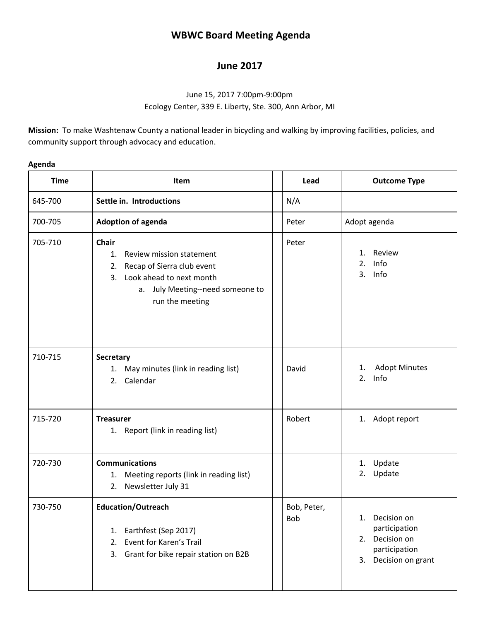# **WBWC Board Meeting Agenda**

## **June 2017**

### June 15, 2017 7:00pm-9:00pm Ecology Center, 339 E. Liberty, Ste. 300, Ann Arbor, MI

**Mission:** To make Washtenaw County a national leader in bicycling and walking by improving facilities, policies, and community support through advocacy and education.

#### **Agenda**

| <b>Time</b> | Item                                                                                                                                                                           |  | Lead               | <b>Outcome Type</b>                                                                                 |  |
|-------------|--------------------------------------------------------------------------------------------------------------------------------------------------------------------------------|--|--------------------|-----------------------------------------------------------------------------------------------------|--|
| 645-700     | Settle in. Introductions                                                                                                                                                       |  | N/A                |                                                                                                     |  |
| 700-705     | <b>Adoption of agenda</b>                                                                                                                                                      |  | Peter              | Adopt agenda                                                                                        |  |
| 705-710     | <b>Chair</b><br>Review mission statement<br>1.<br>Recap of Sierra club event<br>2.<br>Look ahead to next month<br>3.<br>July Meeting--need someone to<br>а.<br>run the meeting |  | Peter              | Review<br>1.<br>2.<br>Info<br>Info<br>3.                                                            |  |
| 710-715     | <b>Secretary</b><br>May minutes (link in reading list)<br>1.<br>Calendar<br>2.                                                                                                 |  | David              | <b>Adopt Minutes</b><br>1.<br>Info<br>2.                                                            |  |
| 715-720     | <b>Treasurer</b><br>1. Report (link in reading list)                                                                                                                           |  | Robert             | 1. Adopt report                                                                                     |  |
| 720-730     | <b>Communications</b><br>Meeting reports (link in reading list)<br>1.<br>2. Newsletter July 31                                                                                 |  |                    | Update<br>1.<br>Update<br>2.                                                                        |  |
| 730-750     | <b>Education/Outreach</b><br>Earthfest (Sep 2017)<br>1.<br>Event for Karen's Trail<br>2.<br>Grant for bike repair station on B2B<br>3.                                         |  | Bob, Peter,<br>Bob | Decision on<br>1.<br>participation<br>Decision on<br>2.<br>participation<br>Decision on grant<br>3. |  |